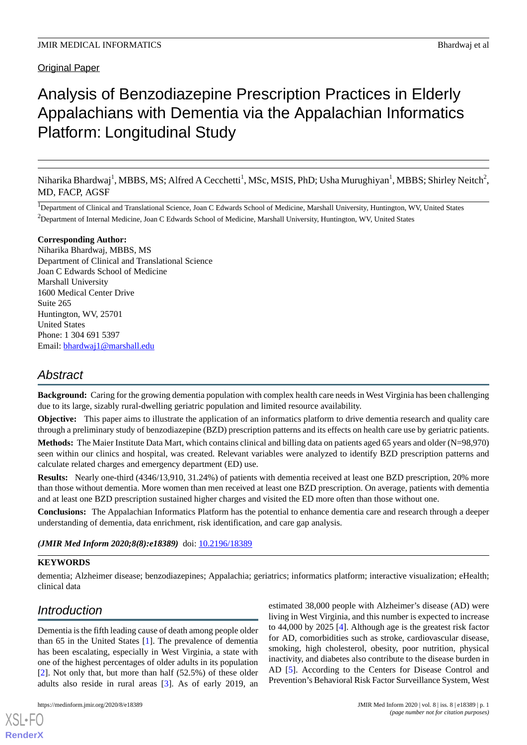Original Paper

# Analysis of Benzodiazepine Prescription Practices in Elderly Appalachians with Dementia via the Appalachian Informatics Platform: Longitudinal Study

Niharika Bhardwaj<sup>1</sup>, MBBS, MS; Alfred A Cecchetti<sup>1</sup>, MSc, MSIS, PhD; Usha Murughiyan<sup>1</sup>, MBBS; Shirley Neitch<sup>2</sup>, MD, FACP, AGSF

<sup>1</sup>Department of Clinical and Translational Science, Joan C Edwards School of Medicine, Marshall University, Huntington, WV, United States <sup>2</sup>Department of Internal Medicine, Joan C Edwards School of Medicine, Marshall University, Huntington, WV, United States

## **Corresponding Author:**

Niharika Bhardwaj, MBBS, MS Department of Clinical and Translational Science Joan C Edwards School of Medicine Marshall University 1600 Medical Center Drive Suite 265 Huntington, WV, 25701 United States Phone: 1 304 691 5397 Email: [bhardwaj1@marshall.edu](mailto:bhardwaj1@marshall.edu)

## *Abstract*

**Background:** Caring for the growing dementia population with complex health care needs in West Virginia has been challenging due to its large, sizably rural-dwelling geriatric population and limited resource availability.

**Objective:** This paper aims to illustrate the application of an informatics platform to drive dementia research and quality care through a preliminary study of benzodiazepine (BZD) prescription patterns and its effects on health care use by geriatric patients.

**Methods:** The Maier Institute Data Mart, which contains clinical and billing data on patients aged 65 years and older (N=98,970) seen within our clinics and hospital, was created. Relevant variables were analyzed to identify BZD prescription patterns and calculate related charges and emergency department (ED) use.

**Results:** Nearly one-third (4346/13,910, 31.24%) of patients with dementia received at least one BZD prescription, 20% more than those without dementia. More women than men received at least one BZD prescription. On average, patients with dementia and at least one BZD prescription sustained higher charges and visited the ED more often than those without one.

**Conclusions:** The Appalachian Informatics Platform has the potential to enhance dementia care and research through a deeper understanding of dementia, data enrichment, risk identification, and care gap analysis.

(JMIR Med Inform 2020;8(8):e18389) doi: [10.2196/18389](http://dx.doi.org/10.2196/18389)

## **KEYWORDS**

dementia; Alzheimer disease; benzodiazepines; Appalachia; geriatrics; informatics platform; interactive visualization; eHealth; clinical data

## *Introduction*

[XSL](http://www.w3.org/Style/XSL)•FO **[RenderX](http://www.renderx.com/)**

Dementia is the fifth leading cause of death among people older than 65 in the United States [\[1](#page-6-0)]. The prevalence of dementia has been escalating, especially in West Virginia, a state with one of the highest percentages of older adults in its population [[2\]](#page-6-1). Not only that, but more than half (52.5%) of these older adults also reside in rural areas [[3\]](#page-6-2). As of early 2019, an

estimated 38,000 people with Alzheimer's disease (AD) were living in West Virginia, and this number is expected to increase to 44,000 by 2025 [\[4](#page-6-3)]. Although age is the greatest risk factor for AD, comorbidities such as stroke, cardiovascular disease, smoking, high cholesterol, obesity, poor nutrition, physical inactivity, and diabetes also contribute to the disease burden in AD [[5\]](#page-6-4). According to the Centers for Disease Control and Prevention's Behavioral Risk Factor Surveillance System, West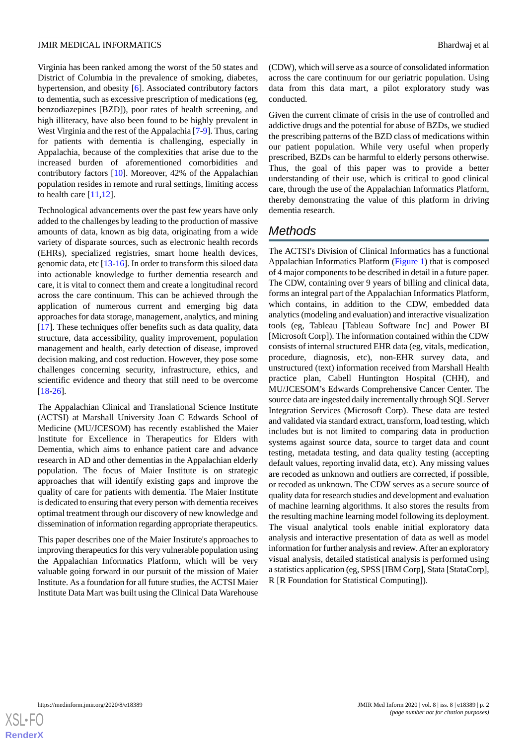Virginia has been ranked among the worst of the 50 states and District of Columbia in the prevalence of smoking, diabetes, hypertension, and obesity [[6\]](#page-6-5). Associated contributory factors to dementia, such as excessive prescription of medications (eg, benzodiazepines [BZD]), poor rates of health screening, and high illiteracy, have also been found to be highly prevalent in West Virginia and the rest of the Appalachia [\[7](#page-6-6)[-9](#page-6-7)]. Thus, caring for patients with dementia is challenging, especially in Appalachia, because of the complexities that arise due to the increased burden of aforementioned comorbidities and contributory factors [[10\]](#page-6-8). Moreover, 42% of the Appalachian population resides in remote and rural settings, limiting access to health care  $[11,12]$  $[11,12]$  $[11,12]$ .

Technological advancements over the past few years have only added to the challenges by leading to the production of massive amounts of data, known as big data, originating from a wide variety of disparate sources, such as electronic health records (EHRs), specialized registries, smart home health devices, genomic data, etc [\[13](#page-6-11)[-16](#page-6-12)]. In order to transform this siloed data into actionable knowledge to further dementia research and care, it is vital to connect them and create a longitudinal record across the care continuum. This can be achieved through the application of numerous current and emerging big data approaches for data storage, management, analytics, and mining [[17\]](#page-6-13). These techniques offer benefits such as data quality, data structure, data accessibility, quality improvement, population management and health, early detection of disease, improved decision making, and cost reduction. However, they pose some challenges concerning security, infrastructure, ethics, and scientific evidence and theory that still need to be overcome [[18](#page-6-14)[-26](#page-7-0)].

The Appalachian Clinical and Translational Science Institute (ACTSI) at Marshall University Joan C Edwards School of Medicine (MU/JCESOM) has recently established the Maier Institute for Excellence in Therapeutics for Elders with Dementia, which aims to enhance patient care and advance research in AD and other dementias in the Appalachian elderly population. The focus of Maier Institute is on strategic approaches that will identify existing gaps and improve the quality of care for patients with dementia. The Maier Institute is dedicated to ensuring that every person with dementia receives optimal treatment through our discovery of new knowledge and dissemination of information regarding appropriate therapeutics.

This paper describes one of the Maier Institute's approaches to improving therapeutics for this very vulnerable population using the Appalachian Informatics Platform, which will be very valuable going forward in our pursuit of the mission of Maier Institute. As a foundation for all future studies, the ACTSI Maier Institute Data Mart was built using the Clinical Data Warehouse

(CDW), which will serve as a source of consolidated information across the care continuum for our geriatric population. Using data from this data mart, a pilot exploratory study was conducted.

Given the current climate of crisis in the use of controlled and addictive drugs and the potential for abuse of BZDs, we studied the prescribing patterns of the BZD class of medications within our patient population. While very useful when properly prescribed, BZDs can be harmful to elderly persons otherwise. Thus, the goal of this paper was to provide a better understanding of their use, which is critical to good clinical care, through the use of the Appalachian Informatics Platform, thereby demonstrating the value of this platform in driving dementia research.

## *Methods*

The ACTSI's Division of Clinical Informatics has a functional Appalachian Informatics Platform [\(Figure 1\)](#page-2-0) that is composed of 4 major components to be described in detail in a future paper. The CDW, containing over 9 years of billing and clinical data, forms an integral part of the Appalachian Informatics Platform, which contains, in addition to the CDW, embedded data analytics (modeling and evaluation) and interactive visualization tools (eg, Tableau [Tableau Software Inc] and Power BI [Microsoft Corp]). The information contained within the CDW consists of internal structured EHR data (eg, vitals, medication, procedure, diagnosis, etc), non-EHR survey data, and unstructured (text) information received from Marshall Health practice plan, Cabell Huntington Hospital (CHH), and MU/JCESOM's Edwards Comprehensive Cancer Center. The source data are ingested daily incrementally through SQL Server Integration Services (Microsoft Corp). These data are tested and validated via standard extract, transform, load testing, which includes but is not limited to comparing data in production systems against source data, source to target data and count testing, metadata testing, and data quality testing (accepting default values, reporting invalid data, etc). Any missing values are recoded as unknown and outliers are corrected, if possible, or recoded as unknown. The CDW serves as a secure source of quality data for research studies and development and evaluation of machine learning algorithms. It also stores the results from the resulting machine learning model following its deployment. The visual analytical tools enable initial exploratory data analysis and interactive presentation of data as well as model information for further analysis and review. After an exploratory visual analysis, detailed statistical analysis is performed using a statistics application (eg, SPSS [IBM Corp], Stata [StataCorp], R [R Foundation for Statistical Computing]).

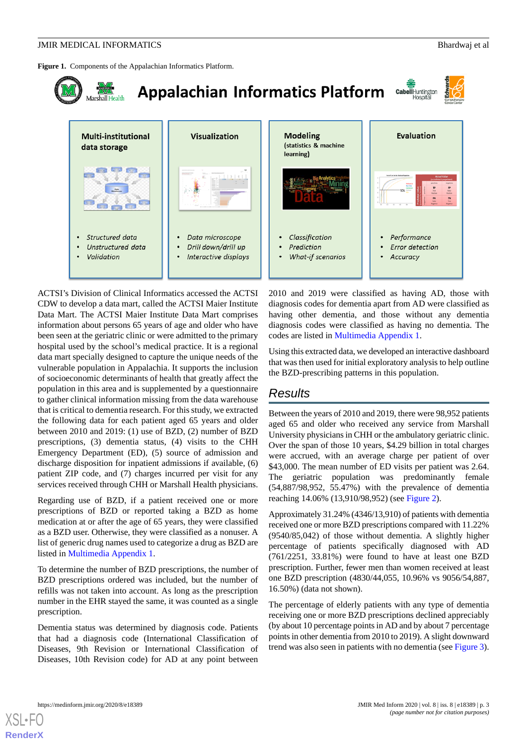## **JMIR MEDICAL INFORMATICS** Bhardwaj et al

<span id="page-2-0"></span>**Figure 1.** Components of the Appalachian Informatics Platform.



ACTSI's Division of Clinical Informatics accessed the ACTSI CDW to develop a data mart, called the ACTSI Maier Institute Data Mart. The ACTSI Maier Institute Data Mart comprises information about persons 65 years of age and older who have been seen at the geriatric clinic or were admitted to the primary hospital used by the school's medical practice. It is a regional data mart specially designed to capture the unique needs of the vulnerable population in Appalachia. It supports the inclusion of socioeconomic determinants of health that greatly affect the population in this area and is supplemented by a questionnaire to gather clinical information missing from the data warehouse that is critical to dementia research. For this study, we extracted the following data for each patient aged 65 years and older between 2010 and 2019: (1) use of BZD, (2) number of BZD prescriptions, (3) dementia status, (4) visits to the CHH Emergency Department (ED), (5) source of admission and discharge disposition for inpatient admissions if available, (6) patient ZIP code, and (7) charges incurred per visit for any services received through CHH or Marshall Health physicians.

Regarding use of BZD, if a patient received one or more prescriptions of BZD or reported taking a BZD as home medication at or after the age of 65 years, they were classified as a BZD user. Otherwise, they were classified as a nonuser. A list of generic drug names used to categorize a drug as BZD are listed in [Multimedia Appendix 1](#page-6-15).

To determine the number of BZD prescriptions, the number of BZD prescriptions ordered was included, but the number of refills was not taken into account. As long as the prescription number in the EHR stayed the same, it was counted as a single prescription.

Dementia status was determined by diagnosis code. Patients that had a diagnosis code (International Classification of Diseases, 9th Revision or International Classification of Diseases, 10th Revision code) for AD at any point between

2010 and 2019 were classified as having AD, those with diagnosis codes for dementia apart from AD were classified as having other dementia, and those without any dementia diagnosis codes were classified as having no dementia. The codes are listed in [Multimedia Appendix 1](#page-6-15).

Using this extracted data, we developed an interactive dashboard that was then used for initial exploratory analysis to help outline the BZD-prescribing patterns in this population.

## *Results*

Between the years of 2010 and 2019, there were 98,952 patients aged 65 and older who received any service from Marshall University physicians in CHH or the ambulatory geriatric clinic. Over the span of those 10 years, \$4.29 billion in total charges were accrued, with an average charge per patient of over \$43,000. The mean number of ED visits per patient was 2.64. The geriatric population was predominantly female (54,887/98,952, 55.47%) with the prevalence of dementia reaching 14.06% (13,910/98,952) (see [Figure 2](#page-3-0)).

Approximately 31.24% (4346/13,910) of patients with dementia received one or more BZD prescriptions compared with 11.22% (9540/85,042) of those without dementia. A slightly higher percentage of patients specifically diagnosed with AD (761/2251, 33.81%) were found to have at least one BZD prescription. Further, fewer men than women received at least one BZD prescription (4830/44,055, 10.96% vs 9056/54,887, 16.50%) (data not shown).

The percentage of elderly patients with any type of dementia receiving one or more BZD prescriptions declined appreciably (by about 10 percentage points in AD and by about 7 percentage points in other dementia from 2010 to 2019). A slight downward trend was also seen in patients with no dementia (see [Figure 3\)](#page-3-1).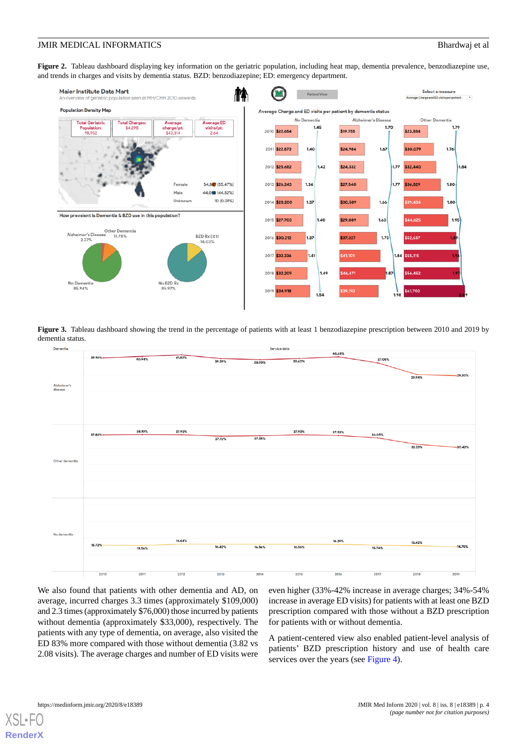<span id="page-3-0"></span>Figure 2. Tableau dashboard displaying key information on the geriatric population, including heat map, dementia prevalence, benzodiazepine use, and trends in charges and visits by dementia status. BZD: benzodiazepine; ED: emergency department.



<span id="page-3-1"></span>**Figure 3.** Tableau dashboard showing the trend in the percentage of patients with at least 1 benzodiazepine prescription between 2010 and 2019 by dementia status.



We also found that patients with other dementia and AD, on average, incurred charges 3.3 times (approximately \$109,000) and 2.3 times (approximately \$76,000) those incurred by patients without dementia (approximately \$33,000), respectively. The patients with any type of dementia, on average, also visited the ED 83% more compared with those without dementia (3.82 vs 2.08 visits). The average charges and number of ED visits were even higher (33%-42% increase in average charges; 34%-54% increase in average ED visits) for patients with at least one BZD prescription compared with those without a BZD prescription for patients with or without dementia.

A patient-centered view also enabled patient-level analysis of patients' BZD prescription history and use of health care services over the years (see [Figure 4\)](#page-4-0).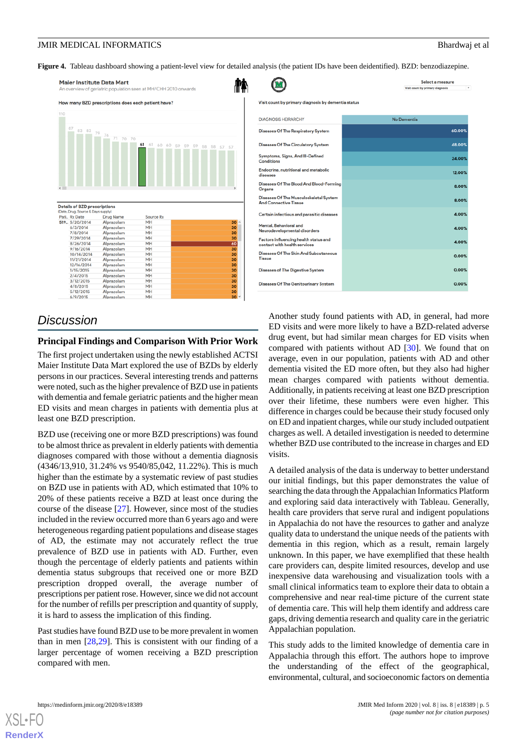.<br>Select a measure

<span id="page-4-0"></span>**Figure 4.** Tableau dashboard showing a patient-level view for detailed analysis (the patient IDs have been deidentified). BZD: benzodiazepine.

 $\curvearrowright$ 



|                                                                        | ٠<br>Visit count by primary diagnosis |
|------------------------------------------------------------------------|---------------------------------------|
| Visit count by primary diagnosis by dementia status                    |                                       |
| <b>DIAGNOSIS HEIRARCHY</b>                                             | No Dementia                           |
| <b>Diseases Of The Respiratory System</b>                              | 60.00%                                |
| <b>Diseases Of The Circulatory System</b>                              | 48.00%                                |
| Symptoms, Signs, And III-Defined<br>Conditions                         | 24.00%                                |
| Endocrine, nutritional and metabolic<br>diseases                       | 12.00%                                |
| Diseases Of The Blood And Blood-Forming<br>Organs                      | 8.00%                                 |
| Diseases Of The Musculoskeletal System<br><b>And Connective Tissue</b> | 8.00%                                 |
| Certain infectious and parasitic diseases                              | 4.00%                                 |
| Mental, Behavioral and<br>Neurodevelopmental disorders                 | 4.00%                                 |
| Factors influencing health status and<br>contact with health services  | 4.00%                                 |
| Diseases Of The Skin And Subcutaneous<br>Tissue                        | 0.00%                                 |
| Diseases of The Digestive System                                       | 0.00%                                 |
| <b>Diseases Of The Genitourinary System</b>                            | 0.00%                                 |

## *Discussion*

## **Principal Findings and Comparison With Prior Work**

The first project undertaken using the newly established ACTSI Maier Institute Data Mart explored the use of BZDs by elderly persons in our practices. Several interesting trends and patterns were noted, such as the higher prevalence of BZD use in patients with dementia and female geriatric patients and the higher mean ED visits and mean charges in patients with dementia plus at least one BZD prescription.

BZD use (receiving one or more BZD prescriptions) was found to be almost thrice as prevalent in elderly patients with dementia diagnoses compared with those without a dementia diagnosis (4346/13,910, 31.24% vs 9540/85,042, 11.22%). This is much higher than the estimate by a systematic review of past studies on BZD use in patients with AD, which estimated that 10% to 20% of these patients receive a BZD at least once during the course of the disease [[27\]](#page-7-1). However, since most of the studies included in the review occurred more than 6 years ago and were heterogeneous regarding patient populations and disease stages of AD, the estimate may not accurately reflect the true prevalence of BZD use in patients with AD. Further, even though the percentage of elderly patients and patients within dementia status subgroups that received one or more BZD prescription dropped overall, the average number of prescriptions per patient rose. However, since we did not account for the number of refills per prescription and quantity of supply, it is hard to assess the implication of this finding.

Past studies have found BZD use to be more prevalent in women than in men  $[28,29]$  $[28,29]$  $[28,29]$ . This is consistent with our finding of a larger percentage of women receiving a BZD prescription compared with men.

Another study found patients with AD, in general, had more ED visits and were more likely to have a BZD-related adverse drug event, but had similar mean charges for ED visits when compared with patients without AD [[30\]](#page-7-4). We found that on average, even in our population, patients with AD and other dementia visited the ED more often, but they also had higher mean charges compared with patients without dementia. Additionally, in patients receiving at least one BZD prescription over their lifetime, these numbers were even higher. This difference in charges could be because their study focused only on ED and inpatient charges, while our study included outpatient charges as well. A detailed investigation is needed to determine whether BZD use contributed to the increase in charges and ED visits.

A detailed analysis of the data is underway to better understand our initial findings, but this paper demonstrates the value of searching the data through the Appalachian Informatics Platform and exploring said data interactively with Tableau. Generally, health care providers that serve rural and indigent populations in Appalachia do not have the resources to gather and analyze quality data to understand the unique needs of the patients with dementia in this region, which as a result, remain largely unknown. In this paper, we have exemplified that these health care providers can, despite limited resources, develop and use inexpensive data warehousing and visualization tools with a small clinical informatics team to explore their data to obtain a comprehensive and near real-time picture of the current state of dementia care. This will help them identify and address care gaps, driving dementia research and quality care in the geriatric Appalachian population.

This study adds to the limited knowledge of dementia care in Appalachia through this effort. The authors hope to improve the understanding of the effect of the geographical, environmental, cultural, and socioeconomic factors on dementia

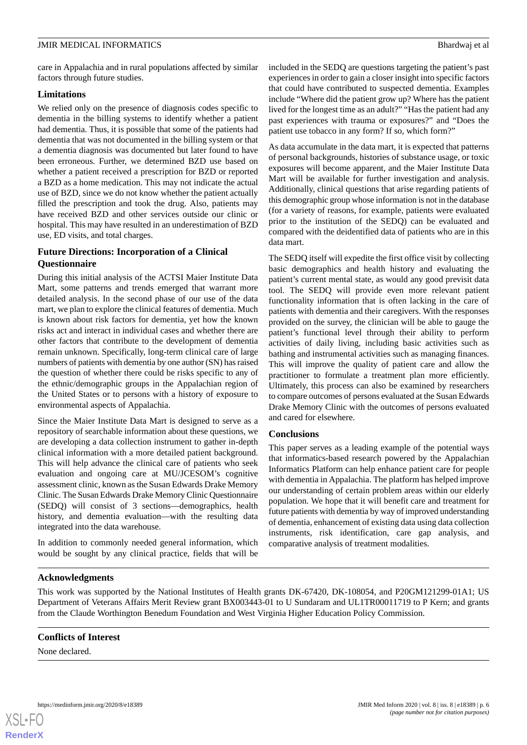care in Appalachia and in rural populations affected by similar factors through future studies.

## **Limitations**

We relied only on the presence of diagnosis codes specific to dementia in the billing systems to identify whether a patient had dementia. Thus, it is possible that some of the patients had dementia that was not documented in the billing system or that a dementia diagnosis was documented but later found to have been erroneous. Further, we determined BZD use based on whether a patient received a prescription for BZD or reported a BZD as a home medication. This may not indicate the actual use of BZD, since we do not know whether the patient actually filled the prescription and took the drug. Also, patients may have received BZD and other services outside our clinic or hospital. This may have resulted in an underestimation of BZD use, ED visits, and total charges.

## **Future Directions: Incorporation of a Clinical Questionnaire**

During this initial analysis of the ACTSI Maier Institute Data Mart, some patterns and trends emerged that warrant more detailed analysis. In the second phase of our use of the data mart, we plan to explore the clinical features of dementia. Much is known about risk factors for dementia, yet how the known risks act and interact in individual cases and whether there are other factors that contribute to the development of dementia remain unknown. Specifically, long-term clinical care of large numbers of patients with dementia by one author (SN) has raised the question of whether there could be risks specific to any of the ethnic/demographic groups in the Appalachian region of the United States or to persons with a history of exposure to environmental aspects of Appalachia.

Since the Maier Institute Data Mart is designed to serve as a repository of searchable information about these questions, we are developing a data collection instrument to gather in-depth clinical information with a more detailed patient background. This will help advance the clinical care of patients who seek evaluation and ongoing care at MU/JCESOM's cognitive assessment clinic, known as the Susan Edwards Drake Memory Clinic. The Susan Edwards Drake Memory Clinic Questionnaire (SEDQ) will consist of 3 sections—demographics, health history, and dementia evaluation—with the resulting data integrated into the data warehouse.

In addition to commonly needed general information, which would be sought by any clinical practice, fields that will be included in the SEDQ are questions targeting the patient's past experiences in order to gain a closer insight into specific factors that could have contributed to suspected dementia. Examples include "Where did the patient grow up? Where has the patient lived for the longest time as an adult?" "Has the patient had any past experiences with trauma or exposures?" and "Does the patient use tobacco in any form? If so, which form?"

As data accumulate in the data mart, it is expected that patterns of personal backgrounds, histories of substance usage, or toxic exposures will become apparent, and the Maier Institute Data Mart will be available for further investigation and analysis. Additionally, clinical questions that arise regarding patients of this demographic group whose information is not in the database (for a variety of reasons, for example, patients were evaluated prior to the institution of the SEDQ) can be evaluated and compared with the deidentified data of patients who are in this data mart.

The SEDQ itself will expedite the first office visit by collecting basic demographics and health history and evaluating the patient's current mental state, as would any good previsit data tool. The SEDQ will provide even more relevant patient functionality information that is often lacking in the care of patients with dementia and their caregivers. With the responses provided on the survey, the clinician will be able to gauge the patient's functional level through their ability to perform activities of daily living, including basic activities such as bathing and instrumental activities such as managing finances. This will improve the quality of patient care and allow the practitioner to formulate a treatment plan more efficiently. Ultimately, this process can also be examined by researchers to compare outcomes of persons evaluated at the Susan Edwards Drake Memory Clinic with the outcomes of persons evaluated and cared for elsewhere.

## **Conclusions**

This paper serves as a leading example of the potential ways that informatics-based research powered by the Appalachian Informatics Platform can help enhance patient care for people with dementia in Appalachia. The platform has helped improve our understanding of certain problem areas within our elderly population. We hope that it will benefit care and treatment for future patients with dementia by way of improved understanding of dementia, enhancement of existing data using data collection instruments, risk identification, care gap analysis, and comparative analysis of treatment modalities.

## **Acknowledgments**

This work was supported by the National Institutes of Health grants DK-67420, DK-108054, and P20GM121299-01A1; US Department of Veterans Affairs Merit Review grant BX003443-01 to U Sundaram and UL1TR00011719 to P Kern; and grants from the Claude Worthington Benedum Foundation and West Virginia Higher Education Policy Commission.

## **Conflicts of Interest**

None declared.

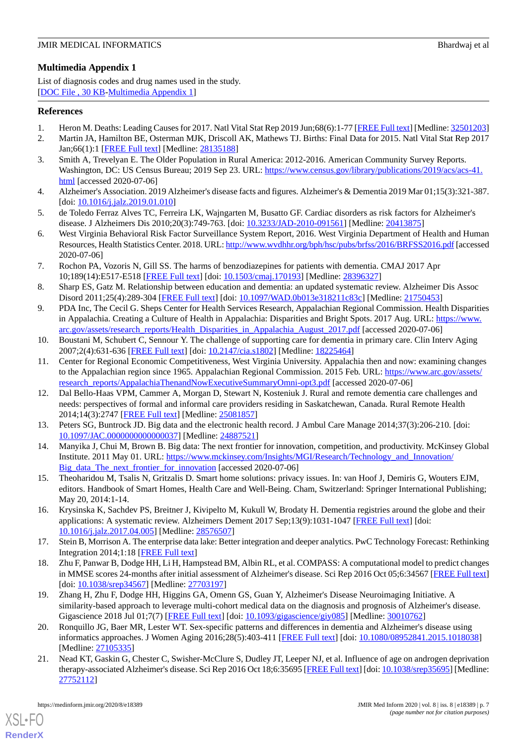## <span id="page-6-15"></span>**Multimedia Appendix 1**

List of diagnosis codes and drug names used in the study. [[DOC File , 30 KB-Multimedia Appendix 1](https://jmir.org/api/download?alt_name=medinform_v8i8e18389_app1.doc&filename=4e9a2fc23da2b5eb17c74c557ca5a36a.doc)]

## <span id="page-6-0"></span>**References**

- <span id="page-6-1"></span>1. Heron M. Deaths: Leading Causes for 2017. Natl Vital Stat Rep 2019 Jun;68(6):1-77 [[FREE Full text\]](http://www.cdc.gov/nchs/data/nvsr/nvsr68/nvsr68_06-508.pdf) [Medline: [32501203](http://www.ncbi.nlm.nih.gov/entrez/query.fcgi?cmd=Retrieve&db=PubMed&list_uids=32501203&dopt=Abstract)]
- <span id="page-6-2"></span>2. Martin JA, Hamilton BE, Osterman MJK, Driscoll AK, Mathews TJ. Births: Final Data for 2015. Natl Vital Stat Rep 2017 Jan;66(1):1 [[FREE Full text](http://www.cdc.gov/nchs/data/nvsr/nvsr65/nvsr66_01.pdf)] [Medline: [28135188](http://www.ncbi.nlm.nih.gov/entrez/query.fcgi?cmd=Retrieve&db=PubMed&list_uids=28135188&dopt=Abstract)]
- <span id="page-6-3"></span>3. Smith A, Trevelyan E. The Older Population in Rural America: 2012-2016. American Community Survey Reports. Washington, DC: US Census Bureau; 2019 Sep 23. URL: [https://www.census.gov/library/publications/2019/acs/acs-41.](https://www.census.gov/library/publications/2019/acs/acs-41.html) [html](https://www.census.gov/library/publications/2019/acs/acs-41.html) [accessed 2020-07-06]
- <span id="page-6-4"></span>4. Alzheimer's Association. 2019 Alzheimer's disease facts and figures. Alzheimer's & Dementia 2019 Mar 01;15(3):321-387. [doi: [10.1016/j.jalz.2019.01.010](http://dx.doi.org/10.1016/j.jalz.2019.01.010)]
- <span id="page-6-5"></span>5. de Toledo Ferraz Alves TC, Ferreira LK, Wajngarten M, Busatto GF. Cardiac disorders as risk factors for Alzheimer's disease. J Alzheimers Dis 2010;20(3):749-763. [doi: [10.3233/JAD-2010-091561](http://dx.doi.org/10.3233/JAD-2010-091561)] [Medline: [20413875](http://www.ncbi.nlm.nih.gov/entrez/query.fcgi?cmd=Retrieve&db=PubMed&list_uids=20413875&dopt=Abstract)]
- <span id="page-6-6"></span>6. West Virginia Behavioral Risk Factor Surveillance System Report, 2016. West Virginia Department of Health and Human Resources, Health Statistics Center. 2018. URL:<http://www.wvdhhr.org/bph/hsc/pubs/brfss/2016/BRFSS2016.pdf> [accessed 2020-07-06]
- 7. Rochon PA, Vozoris N, Gill SS. The harms of benzodiazepines for patients with dementia. CMAJ 2017 Apr 10;189(14):E517-E518 [\[FREE Full text\]](http://www.cmaj.ca/cgi/pmidlookup?view=long&pmid=28396327) [doi: [10.1503/cmaj.170193\]](http://dx.doi.org/10.1503/cmaj.170193) [Medline: [28396327\]](http://www.ncbi.nlm.nih.gov/entrez/query.fcgi?cmd=Retrieve&db=PubMed&list_uids=28396327&dopt=Abstract)
- <span id="page-6-7"></span>8. Sharp ES, Gatz M. Relationship between education and dementia: an updated systematic review. Alzheimer Dis Assoc Disord 2011;25(4):289-304 [[FREE Full text](http://europepmc.org/abstract/MED/21750453)] [doi: [10.1097/WAD.0b013e318211c83c](http://dx.doi.org/10.1097/WAD.0b013e318211c83c)] [Medline: [21750453\]](http://www.ncbi.nlm.nih.gov/entrez/query.fcgi?cmd=Retrieve&db=PubMed&list_uids=21750453&dopt=Abstract)
- <span id="page-6-8"></span>9. PDA Inc, The Cecil G. Sheps Center for Health Services Research, Appalachian Regional Commission. Health Disparities in Appalachia. Creating a Culture of Health in Appalachia: Disparities and Bright Spots. 2017 Aug. URL: [https://www.](https://www.arc.gov/assets/research_reports/Health_Disparities_in_Appalachia_August_2017.pdf) [arc.gov/assets/research\\_reports/Health\\_Disparities\\_in\\_Appalachia\\_August\\_2017.pdf](https://www.arc.gov/assets/research_reports/Health_Disparities_in_Appalachia_August_2017.pdf) [accessed 2020-07-06]
- <span id="page-6-9"></span>10. Boustani M, Schubert C, Sennour Y. The challenge of supporting care for dementia in primary care. Clin Interv Aging 2007;2(4):631-636 [[FREE Full text](https://www.dovepress.com/articles.php?article_id=208)] [doi: [10.2147/cia.s1802\]](http://dx.doi.org/10.2147/cia.s1802) [Medline: [18225464\]](http://www.ncbi.nlm.nih.gov/entrez/query.fcgi?cmd=Retrieve&db=PubMed&list_uids=18225464&dopt=Abstract)
- <span id="page-6-10"></span>11. Center for Regional Economic Competitiveness, West Virginia University. Appalachia then and now: examining changes to the Appalachian region since 1965. Appalachian Regional Commission. 2015 Feb. URL: [https://www.arc.gov/assets/](https://www.arc.gov/assets/research_reports/AppalachiaThenandNowExecutiveSummaryOmni-opt3.pdf) [research\\_reports/AppalachiaThenandNowExecutiveSummaryOmni-opt3.pdf](https://www.arc.gov/assets/research_reports/AppalachiaThenandNowExecutiveSummaryOmni-opt3.pdf) [accessed 2020-07-06]
- <span id="page-6-11"></span>12. Dal Bello-Haas VPM, Cammer A, Morgan D, Stewart N, Kosteniuk J. Rural and remote dementia care challenges and needs: perspectives of formal and informal care providers residing in Saskatchewan, Canada. Rural Remote Health 2014;14(3):2747 [[FREE Full text\]](https://www.rrh.org.au/articles/subviewnew.asp?ArticleID=2747) [Medline: [25081857\]](http://www.ncbi.nlm.nih.gov/entrez/query.fcgi?cmd=Retrieve&db=PubMed&list_uids=25081857&dopt=Abstract)
- 13. Peters SG, Buntrock JD. Big data and the electronic health record. J Ambul Care Manage 2014;37(3):206-210. [doi: [10.1097/JAC.0000000000000037](http://dx.doi.org/10.1097/JAC.0000000000000037)] [Medline: [24887521\]](http://www.ncbi.nlm.nih.gov/entrez/query.fcgi?cmd=Retrieve&db=PubMed&list_uids=24887521&dopt=Abstract)
- <span id="page-6-12"></span>14. Manyika J, Chui M, Brown B. Big data: The next frontier for innovation, competition, and productivity. McKinsey Global Institute. 2011 May 01. URL: [https://www.mckinsey.com/Insights/MGI/Research/Technology\\_and\\_Innovation/](https://www.mckinsey.com/Insights/MGI/Research/Technology_and_Innovation/Big_data_The_next_frontier_for_innovation) [Big\\_data\\_The\\_next\\_frontier\\_for\\_innovation](https://www.mckinsey.com/Insights/MGI/Research/Technology_and_Innovation/Big_data_The_next_frontier_for_innovation) [accessed 2020-07-06]
- <span id="page-6-13"></span>15. Theoharidou M, Tsalis N, Gritzalis D. Smart home solutions: privacy issues. In: van Hoof J, Demiris G, Wouters EJM, editors. Handbook of Smart Homes, Health Care and Well-Being. Cham, Switzerland: Springer International Publishing; May 20, 2014:1-14.
- <span id="page-6-14"></span>16. Krysinska K, Sachdev PS, Breitner J, Kivipelto M, Kukull W, Brodaty H. Dementia registries around the globe and their applications: A systematic review. Alzheimers Dement 2017 Sep;13(9):1031-1047 [\[FREE Full text\]](http://europepmc.org/abstract/MED/28576507) [doi: [10.1016/j.jalz.2017.04.005](http://dx.doi.org/10.1016/j.jalz.2017.04.005)] [Medline: [28576507\]](http://www.ncbi.nlm.nih.gov/entrez/query.fcgi?cmd=Retrieve&db=PubMed&list_uids=28576507&dopt=Abstract)
- 17. Stein B, Morrison A. The enterprise data lake: Better integration and deeper analytics. PwC Technology Forecast: Rethinking Integration 2014;1:18 [\[FREE Full text\]](http://www.smallake.kr/wp-content/uploads/2017/03/20170313_074222.pdf)
- 18. Zhu F, Panwar B, Dodge HH, Li H, Hampstead BM, Albin RL, et al. COMPASS: A computational model to predict changes in MMSE scores 24-months after initial assessment of Alzheimer's disease. Sci Rep 2016 Oct 05;6:34567 [[FREE Full text](http://dx.doi.org/10.1038/srep34567)] [doi: [10.1038/srep34567\]](http://dx.doi.org/10.1038/srep34567) [Medline: [27703197\]](http://www.ncbi.nlm.nih.gov/entrez/query.fcgi?cmd=Retrieve&db=PubMed&list_uids=27703197&dopt=Abstract)
- 19. Zhang H, Zhu F, Dodge HH, Higgins GA, Omenn GS, Guan Y, Alzheimer's Disease Neuroimaging Initiative. A similarity-based approach to leverage multi-cohort medical data on the diagnosis and prognosis of Alzheimer's disease. Gigascience 2018 Jul 01;7(7) [[FREE Full text](https://academic.oup.com/gigascience/article-lookup/doi/10.1093/gigascience/giy085)] [doi: [10.1093/gigascience/giy085\]](http://dx.doi.org/10.1093/gigascience/giy085) [Medline: [30010762\]](http://www.ncbi.nlm.nih.gov/entrez/query.fcgi?cmd=Retrieve&db=PubMed&list_uids=30010762&dopt=Abstract)
- 20. Ronquillo JG, Baer MR, Lester WT. Sex-specific patterns and differences in dementia and Alzheimer's disease using informatics approaches. J Women Aging 2016;28(5):403-411 [\[FREE Full text\]](http://europepmc.org/abstract/MED/27105335) [doi: [10.1080/08952841.2015.1018038](http://dx.doi.org/10.1080/08952841.2015.1018038)] [Medline: [27105335](http://www.ncbi.nlm.nih.gov/entrez/query.fcgi?cmd=Retrieve&db=PubMed&list_uids=27105335&dopt=Abstract)]
- 21. Nead KT, Gaskin G, Chester C, Swisher-McClure S, Dudley JT, Leeper NJ, et al. Influence of age on androgen deprivation therapy-associated Alzheimer's disease. Sci Rep 2016 Oct 18;6:35695 [[FREE Full text\]](http://dx.doi.org/10.1038/srep35695) [doi: [10.1038/srep35695](http://dx.doi.org/10.1038/srep35695)] [Medline: [27752112](http://www.ncbi.nlm.nih.gov/entrez/query.fcgi?cmd=Retrieve&db=PubMed&list_uids=27752112&dopt=Abstract)]